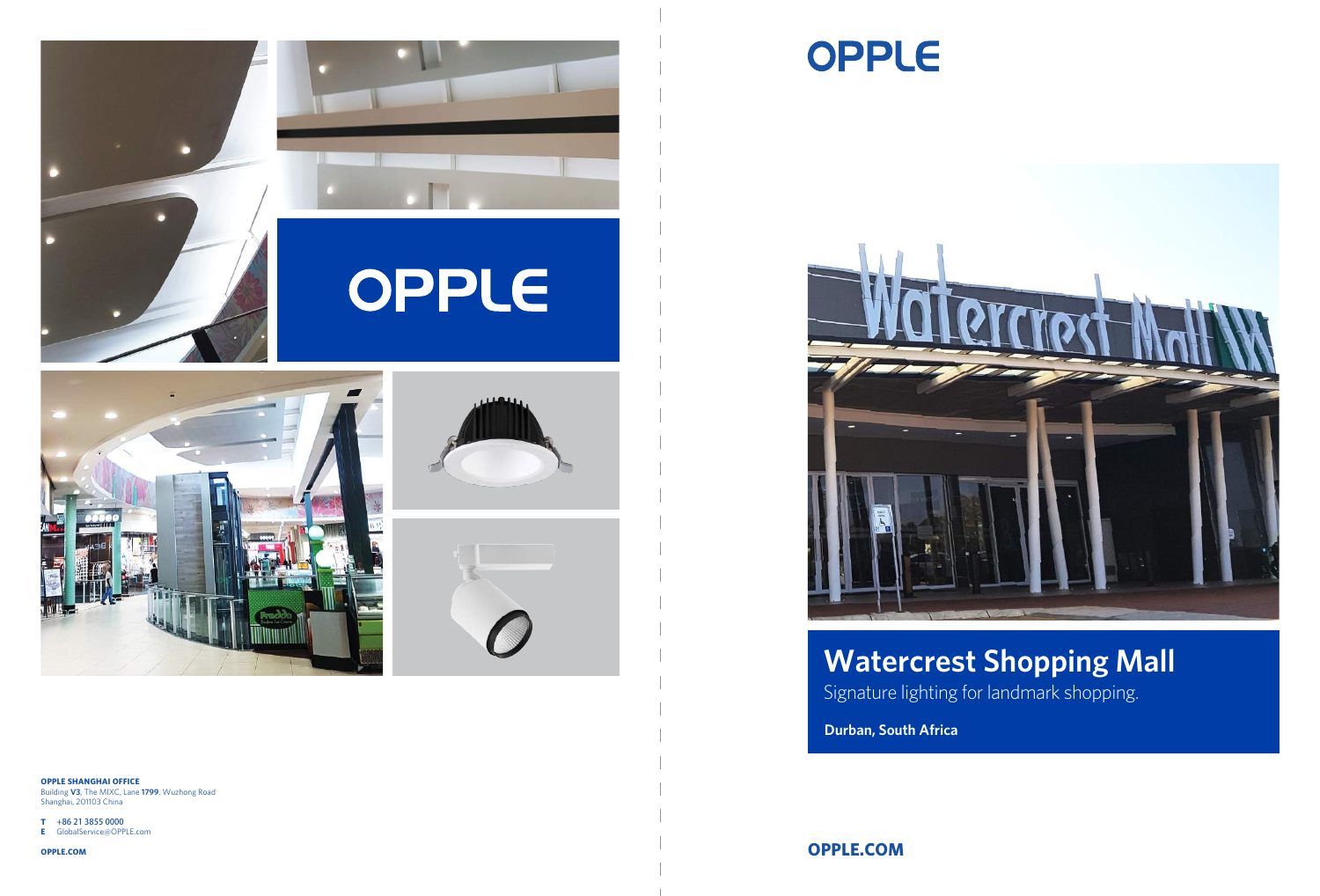**OPPLE.COM**

**Durban, South Africa** Signature lighting for landmark shopping. **Watercrest Shopping Mall**











**OPPLE SHANGHAI OFFICE** Building **V3**, The MIXC, Lane **1799**, Wuzhong Road

Shanghai, 201103 China

**T** +86 21 3855 0000

**E** GlobalService@OPPLE.com

**OPPLE.COM**